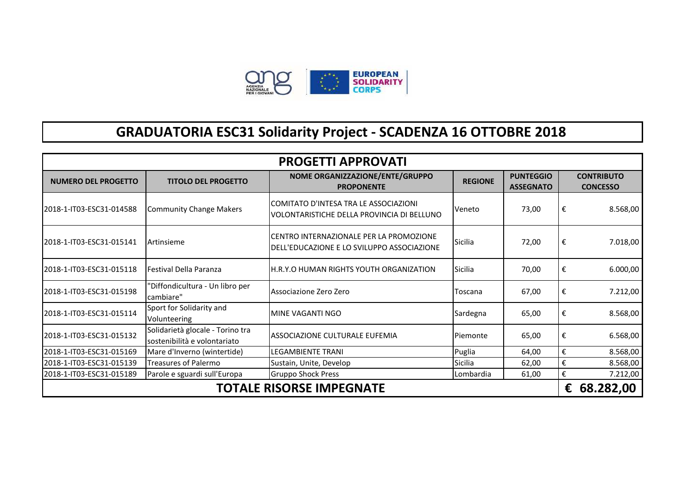

## **GRADUATORIA ESC31 Solidarity Project - SCADENZA 16 OTTOBRE 2018**

| <b>PROGETTI APPROVATI</b>       |                                                                  |                                                                                       |                |                                      |                                      |          |  |  |
|---------------------------------|------------------------------------------------------------------|---------------------------------------------------------------------------------------|----------------|--------------------------------------|--------------------------------------|----------|--|--|
| <b>NUMERO DEL PROGETTO</b>      | <b>TITOLO DEL PROGETTO</b>                                       | NOME ORGANIZZAZIONE/ENTE/GRUPPO<br><b>PROPONENTE</b>                                  | <b>REGIONE</b> | <b>PUNTEGGIO</b><br><b>ASSEGNATO</b> | <b>CONTRIBUTO</b><br><b>CONCESSO</b> |          |  |  |
| 2018-1-IT03-ESC31-014588        | Community Change Makers                                          | COMITATO D'INTESA TRA LE ASSOCIAZIONI<br>VOLONTARISTICHE DELLA PROVINCIA DI BELLUNO   | Veneto         | 73,00                                | €                                    | 8.568,00 |  |  |
| 2018-1-IT03-ESC31-015141        | <b>Artinsieme</b>                                                | CENTRO INTERNAZIONALE PER LA PROMOZIONE<br>DELL'EDUCAZIONE E LO SVILUPPO ASSOCIAZIONE | Sicilia        | 72,00                                | €                                    | 7.018,00 |  |  |
| 2018-1-IT03-ESC31-015118        | <b>IFestival Della Paranza</b>                                   | H.R.Y.O HUMAN RIGHTS YOUTH ORGANIZATION                                               | Sicilia        | 70,00                                | €                                    | 6.000,00 |  |  |
| 2018-1-IT03-ESC31-015198        | "Diffondicultura - Un libro per<br>cambiare"                     | Associazione Zero Zero                                                                | Toscana        | 67,00                                | €                                    | 7.212,00 |  |  |
| 2018-1-IT03-ESC31-015114        | Sport for Solidarity and<br>Volunteering                         | lMINE VAGANTI NGO                                                                     | Sardegna       | 65,00                                | €                                    | 8.568,00 |  |  |
| 2018-1-IT03-ESC31-015132        | Solidarietà glocale - Torino tra<br>sostenibilità e volontariato | ASSOCIAZIONE CULTURALE EUFEMIA                                                        | Piemonte       | 65,00                                | €                                    | 6.568,00 |  |  |
| 2018-1-IT03-ESC31-015169        | Mare d'Inverno (wintertide)                                      | LEGAMBIENTE TRANI                                                                     | Puglia         | 64,00                                | €                                    | 8.568,00 |  |  |
| 2018-1-IT03-ESC31-015139        | <b>Treasures of Palermo</b>                                      | Sustain, Unite, Develop                                                               | Sicilia        | 62,00                                | €                                    | 8.568,00 |  |  |
| 2018-1-IT03-ESC31-015189        | Parole e sguardi sull'Europa                                     | <b>Gruppo Shock Press</b>                                                             | Lombardia      | 61,00                                | €                                    | 7.212,00 |  |  |
| <b>TOTALE RISORSE IMPEGNATE</b> |                                                                  |                                                                                       |                |                                      |                                      |          |  |  |